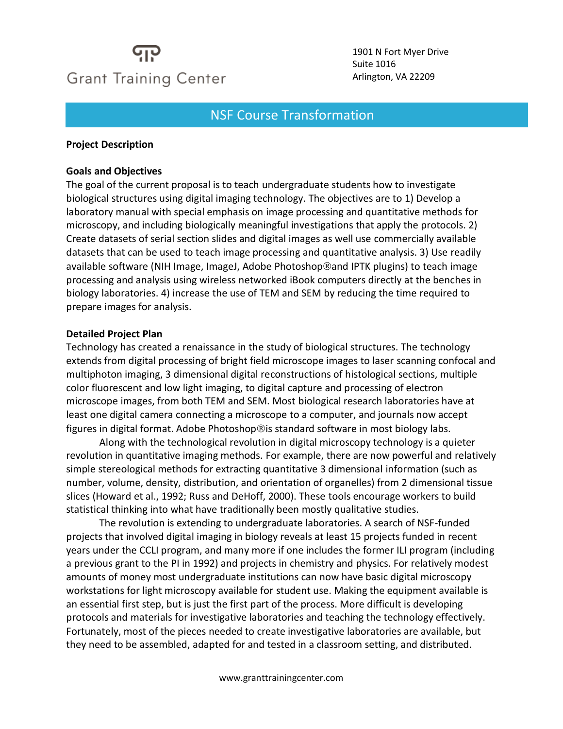# **Grant Training Center**

1901 N Fort Myer Drive Suite 1016 Arlington, VA 22209

#### $\mathcal{L} = \frac{1}{2} \mathcal{L} \mathcal{L}$ NSF Course Transformation

#### **Project Description**

#### **Goals and Objectives**

The goal of the current proposal is to teach undergraduate students how to investigate biological structures using digital imaging technology. The objectives are to 1) Develop a laboratory manual with special emphasis on image processing and quantitative methods for microscopy, and including biologically meaningful investigations that apply the protocols. 2) Create datasets of serial section slides and digital images as well use commercially available datasets that can be used to teach image processing and quantitative analysis. 3) Use readily available software (NIH Image, ImageJ, Adobe Photoshop®and IPTK plugins) to teach image processing and analysis using wireless networked iBook computers directly at the benches in biology laboratories. 4) increase the use of TEM and SEM by reducing the time required to prepare images for analysis.

#### **Detailed Project Plan**

Technology has created a renaissance in the study of biological structures. The technology extends from digital processing of bright field microscope images to laser scanning confocal and multiphoton imaging, 3 dimensional digital reconstructions of histological sections, multiple color fluorescent and low light imaging, to digital capture and processing of electron microscope images, from both TEM and SEM. Most biological research laboratories have at least one digital camera connecting a microscope to a computer, and journals now accept figures in digital format. Adobe Photoshop®is standard software in most biology labs.

Along with the technological revolution in digital microscopy technology is a quieter revolution in quantitative imaging methods. For example, there are now powerful and relatively simple stereological methods for extracting quantitative 3 dimensional information (such as number, volume, density, distribution, and orientation of organelles) from 2 dimensional tissue slices (Howard et al., 1992; Russ and DeHoff, 2000). These tools encourage workers to build statistical thinking into what have traditionally been mostly qualitative studies.

The revolution is extending to undergraduate laboratories. A search of NSF-funded projects that involved digital imaging in biology reveals at least 15 projects funded in recent years under the CCLI program, and many more if one includes the former ILI program (including a previous grant to the PI in 1992) and projects in chemistry and physics. For relatively modest amounts of money most undergraduate institutions can now have basic digital microscopy workstations for light microscopy available for student use. Making the equipment available is an essential first step, but is just the first part of the process. More difficult is developing protocols and materials for investigative laboratories and teaching the technology effectively. Fortunately, most of the pieces needed to create investigative laboratories are available, but they need to be assembled, adapted for and tested in a classroom setting, and distributed.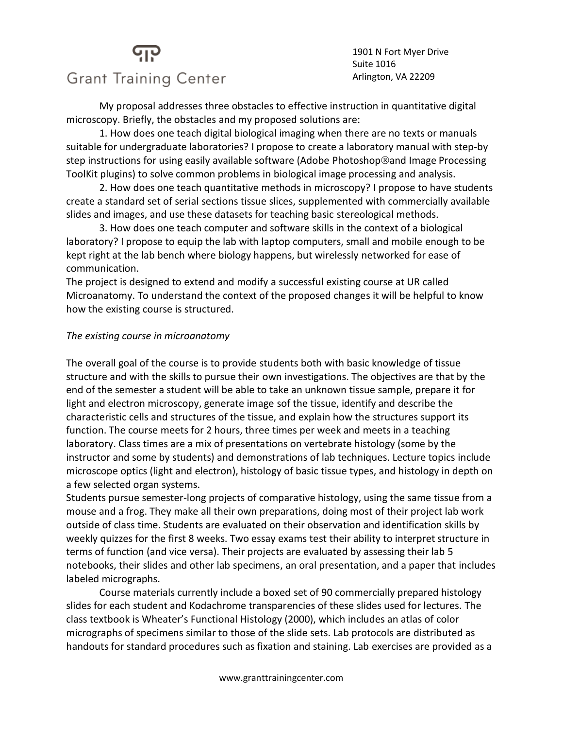#### 1901 N Fort Myer Drive Suite 1016 Arlington, VA 22209

### **Grant Training Center**

My proposal addresses three obstacles to effective instruction in quantitative digital microscopy. Briefly, the obstacles and my proposed solutions are:

1. How does one teach digital biological imaging when there are no texts or manuals suitable for undergraduate laboratories? I propose to create a laboratory manual with step-by step instructions for using easily available software (Adobe Photoshop®and Image Processing ToolKit plugins) to solve common problems in biological image processing and analysis.

2. How does one teach quantitative methods in microscopy? I propose to have students create a standard set of serial sections tissue slices, supplemented with commercially available slides and images, and use these datasets for teaching basic stereological methods.

3. How does one teach computer and software skills in the context of a biological laboratory? I propose to equip the lab with laptop computers, small and mobile enough to be kept right at the lab bench where biology happens, but wirelessly networked for ease of communication.

The project is designed to extend and modify a successful existing course at UR called Microanatomy. To understand the context of the proposed changes it will be helpful to know how the existing course is structured.

#### *The existing course in microanatomy*

The overall goal of the course is to provide students both with basic knowledge of tissue structure and with the skills to pursue their own investigations. The objectives are that by the end of the semester a student will be able to take an unknown tissue sample, prepare it for light and electron microscopy, generate image sof the tissue, identify and describe the characteristic cells and structures of the tissue, and explain how the structures support its function. The course meets for 2 hours, three times per week and meets in a teaching laboratory. Class times are a mix of presentations on vertebrate histology (some by the instructor and some by students) and demonstrations of lab techniques. Lecture topics include microscope optics (light and electron), histology of basic tissue types, and histology in depth on a few selected organ systems.

Students pursue semester-long projects of comparative histology, using the same tissue from a mouse and a frog. They make all their own preparations, doing most of their project lab work outside of class time. Students are evaluated on their observation and identification skills by weekly quizzes for the first 8 weeks. Two essay exams test their ability to interpret structure in terms of function (and vice versa). Their projects are evaluated by assessing their lab 5 notebooks, their slides and other lab specimens, an oral presentation, and a paper that includes labeled micrographs.

Course materials currently include a boxed set of 90 commercially prepared histology slides for each student and Kodachrome transparencies of these slides used for lectures. The class textbook is Wheater's Functional Histology (2000), which includes an atlas of color micrographs of specimens similar to those of the slide sets. Lab protocols are distributed as handouts for standard procedures such as fixation and staining. Lab exercises are provided as a